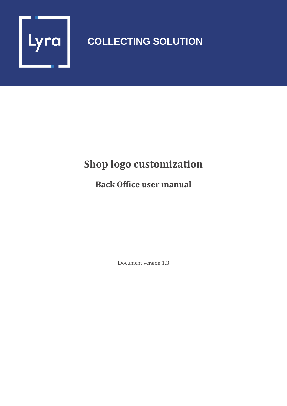

## **COLLECTING SOLUTION**

## **Shop logo customization**

## **Back Office user manual**

Document version 1.3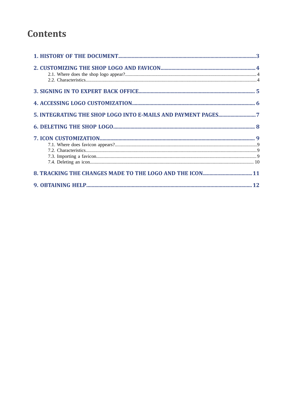## **Contents**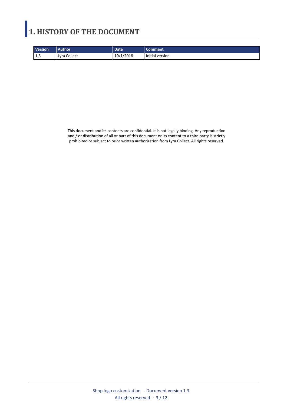## <span id="page-2-0"></span>**1. HISTORY OF THE DOCUMENT**

| <b>Version</b> | <b>Author</b> | <b>Date</b> | Comment         |
|----------------|---------------|-------------|-----------------|
| 1.3            | Lyra Collect  | 10/1/2018   | Initial version |

This document and its contents are confidential. It is not legally binding. Any reproduction and / or distribution of all or part of this document or its content to a third party is strictly prohibited or subject to prior written authorization from Lyra Collect. All rights reserved.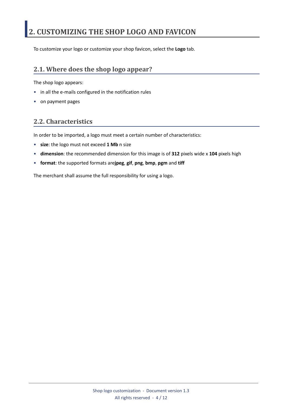## <span id="page-3-0"></span>**2. CUSTOMIZING THE SHOP LOGO AND FAVICON**

To customize your logo or customize your shop favicon, select the **Logo** tab.

### <span id="page-3-1"></span>**2.1. Where does the shop logo appear?**

The shop logo appears:

- in all the e-mails configured in the notification rules
- on payment pages

### <span id="page-3-2"></span>**2.2. Characteristics**

In order to be imported, a logo must meet a certain number of characteristics:

- **size**: the logo must not exceed **1 Mb** n size
- **dimension**: the recommended dimension for this image is of **312** pixels wide x **104** pixels high
- **format**: the supported formats are**jpeg**, **gif**, **png**, **bmp**, **pgm** and **tiff**

The merchant shall assume the full responsibility for using a logo.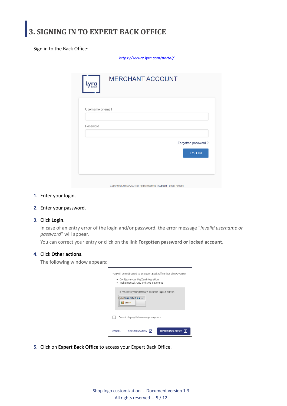<span id="page-4-0"></span>Sign in to the Back Office:

*<https://secure.lyra.com/portal/>*

| Username or email |  |                     |
|-------------------|--|---------------------|
|                   |  |                     |
| Password          |  |                     |
|                   |  | Forgotten password? |
|                   |  | <b>LOG IN</b>       |
|                   |  |                     |

- **1.** Enter your login.
- **2.** Enter your password.
- **3.** Click **Login**.

In case of an entry error of the login and/or password, the error message "*Invalid username or password*" will appear.

You can correct your entry or click on the link **Forgotten password or locked account**.

#### **4.** Click **Other actions**.

The following window appears:

| You will be redirected to an expert Back Office that allows you to:<br>· Configure your PayZen integration<br>• Make manual, URL and SMS payments |
|---------------------------------------------------------------------------------------------------------------------------------------------------|
| To return to your gateway, click the logout button<br>& Connected as<br>Logout                                                                    |
| Do not display this message anymore                                                                                                               |
| <b>EXPERT BACK OFFICE</b> $\rightarrow$<br><b>DOCUMENTATION</b><br>М<br>CANCEL                                                                    |

**5.** Click on **Expert Back Office** to access your Expert Back Office.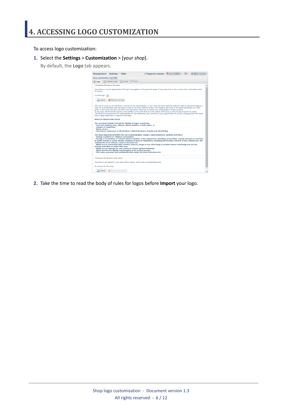<span id="page-5-0"></span>To access logo customization:

- **1.** Select the **Settings** > **Customization** > [your *shop*].
	- By default, the **Logo** tab appears.



**2.** Take the time to read the body of rules for logos before **Import** your logo.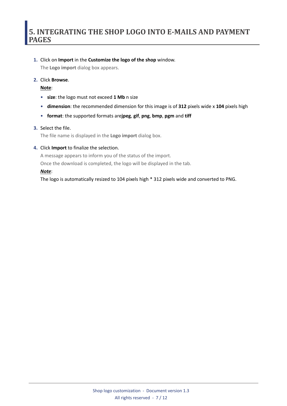#### <span id="page-6-0"></span>**1.** Click on **Import** in the **Customize the logo of the shop** window.

The **Logo import** dialog box appears.

#### **2.** Click **Browse**.

**Note**:

- **size**: the logo must not exceed **1 Mb** n size
- **dimension**: the recommended dimension for this image is of **312** pixels wide x **104** pixels high
- **format**: the supported formats are**jpeg**, **gif**, **png**, **bmp**, **pgm** and **tiff**

#### **3.** Select the file.

The file name is displayed in the **Logo import** dialog box.

#### **4.** Click **Import** to finalize the selection.

A message appears to inform you of the status of the import.

Once the download is completed, the logo will be displayed in the tab.

#### *Note*:

The logo is automatically resized to 104 pixels high \* 312 pixels wide and converted to PNG.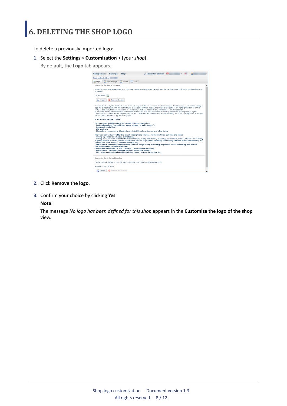<span id="page-7-0"></span>To delete a previously imported logo:

- **1.** Select the **Settings** > **Customization** > [your *shop*].
	- By default, the **Logo** tab appears.



- **2.** Click **Remove the logo**.
- **3.** Confirm your choice by clicking **Yes**.

#### **Note**:

The message *No logo has been defined for this shop* appears in the **Customize the logo of the shop** view.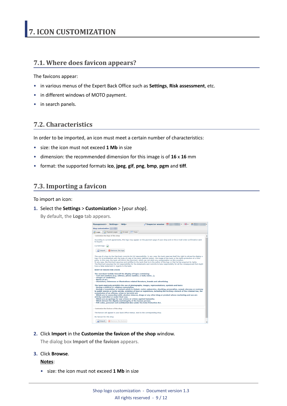### <span id="page-8-1"></span><span id="page-8-0"></span>**7.1. Where does favicon appears?**

The favicons appear:

- in various menus of the Expert Back Office such as **Settings**, **Risk assessment**, etc.
- in different windows of MOTO payment.
- in search panels.

### <span id="page-8-2"></span>**7.2. Characteristics**

In order to be imported, an icon must meet a certain number of characteristics:

- size: the icon must not exceed **1 Mb** in size
- dimension: the recommended dimension for this image is of **16** x **16** mm
- format: the supported formats **ico**, **jpeg**, **gif**, **png**, **bmp**, **pgm** and **tiff**.

### <span id="page-8-3"></span>**7.3. Importing a favicon**

To import an icon:

**1.** Select the **Settings** > **Customization** > [your *shop*].

By default, the **Logo** tab appears.

| $\blacksquare$ Inspector session $\blacksquare$<br>- 1 開。<br>Management - Settings - Help -                                                                                                                                                                                                                                                                                                                                                                                                                                                                                                                                                                                                                                                             |
|---------------------------------------------------------------------------------------------------------------------------------------------------------------------------------------------------------------------------------------------------------------------------------------------------------------------------------------------------------------------------------------------------------------------------------------------------------------------------------------------------------------------------------------------------------------------------------------------------------------------------------------------------------------------------------------------------------------------------------------------------------|
| <b>Shop customization:</b>                                                                                                                                                                                                                                                                                                                                                                                                                                                                                                                                                                                                                                                                                                                              |
| $\mathbb{Z}$ E-mails<br><b>Logo</b><br>Payment pages<br>$\vert$ $\vert$ = $\vert$ Texts                                                                                                                                                                                                                                                                                                                                                                                                                                                                                                                                                                                                                                                                 |
| Customize the logo of the shop                                                                                                                                                                                                                                                                                                                                                                                                                                                                                                                                                                                                                                                                                                                          |
| According to current agreements, this logo may appear on the payment page of your shop and on the e-mail order confirmation sent<br>to buvers.                                                                                                                                                                                                                                                                                                                                                                                                                                                                                                                                                                                                          |
| Current logo:                                                                                                                                                                                                                                                                                                                                                                                                                                                                                                                                                                                                                                                                                                                                           |
| Import<br>Remove the logo                                                                                                                                                                                                                                                                                                                                                                                                                                                                                                                                                                                                                                                                                                                               |
| The use of a logo by the Merchant commits his full responsibility. In any case, the bank reserves itself the right to refuse the display a<br>logo if it is inconsistent with the body of rules of the bank (defined below), the image of the bank or the rights protection of a third<br>party. In this case, the bank will inform the Merchant, which can not claim any compensation on this occasion.<br>In any case, the Merchant assumes and certifies to the bank that he is the author of the logo or that he has acquired its rights.<br>The Merchant assumes the full responsibility for the statements and commits to take responsibility for all the consequences that might<br>have a false statement in regards to the bank.               |
| <b>RODY OF RULES FOR LOGOS</b>                                                                                                                                                                                                                                                                                                                                                                                                                                                                                                                                                                                                                                                                                                                          |
| The merchant forbids himself the display of logos containing:<br>- Text and numbers (e.g. address, phone number, e-mail, name);<br>- Images of celebrities:<br>- Works of art;<br>- Characters, references or illustrations related literature, brands and advertising.                                                                                                                                                                                                                                                                                                                                                                                                                                                                                 |
| The bank expressly prohibits the use of photographs, images, representations, symbols and texts:                                                                                                                                                                                                                                                                                                                                                                                                                                                                                                                                                                                                                                                        |
| - Having a political or religious connotation,<br>- Having a connotation or content which is violent, racist, subversive, shocking, provocative, sexual, obscene or contrary<br>to public morals or incite suicide, violation of laws or regulations, including the inciting a breach of the criminal law, the<br>commission of an offense, crime or terrorist act;<br>- Which are in connection with: alcohol, tobacco, drugs or any other drug or product whose marketing and use are<br>strictly controlled or under their use:<br>- Which are an apology for war crimes or crimes against humanity;<br>- Which detract the dignity and integrity of the human person;<br>- PIN codes, personal and confidential data under the Data Protection Act. |
| Customize the favicon of the shop                                                                                                                                                                                                                                                                                                                                                                                                                                                                                                                                                                                                                                                                                                                       |
| The favicon will appear in your Back Office menus, next to the corresponding shop.                                                                                                                                                                                                                                                                                                                                                                                                                                                                                                                                                                                                                                                                      |
| No favicon for this shop                                                                                                                                                                                                                                                                                                                                                                                                                                                                                                                                                                                                                                                                                                                                |
| Remove the favicon<br>Import                                                                                                                                                                                                                                                                                                                                                                                                                                                                                                                                                                                                                                                                                                                            |

**2.** Click **Import** in the **Customize the favicon of the shop** window.

The dialog box **Import of the favicon** appears.

**3.** Click **Browse**.

#### **Notes**:

• size: the icon must not exceed **1 Mb** in size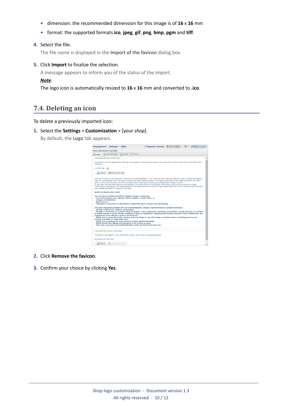- dimension: the recommended dimension for this image is of **16** x **16** mm
- format: the supported formats **ico**, **jpeg**, **gif**, **png**, **bmp**, **pgm** and **tiff**.

#### **4.** Select the file.

The file name is displayed in the **Import of the favicon** dialog box.

#### **5.** Click **Import** to finalize the selection.

A message appears to inform you of the status of the import.

#### *Note*:

The logo icon is automatically resized to **16** x **16** mm and converted to **.ico**.

### <span id="page-9-0"></span>**7.4. Deleting an icon**

To delete a previously imported icon:

**1.** Select the **Settings** > **Customization** > [your *shop*].

By default, the **Logo** tab appears.

| Inspector session $\left \right.$<br>Management - Settings - Help -                                                                                                                                                                                                                                                                                                                                                                                                                                                                                                                                                                                                                                                                       |  |
|-------------------------------------------------------------------------------------------------------------------------------------------------------------------------------------------------------------------------------------------------------------------------------------------------------------------------------------------------------------------------------------------------------------------------------------------------------------------------------------------------------------------------------------------------------------------------------------------------------------------------------------------------------------------------------------------------------------------------------------------|--|
| <b>Shop customization:</b>                                                                                                                                                                                                                                                                                                                                                                                                                                                                                                                                                                                                                                                                                                                |  |
| E-mails Texts<br>Payment pages<br><b>Ex</b> Logo                                                                                                                                                                                                                                                                                                                                                                                                                                                                                                                                                                                                                                                                                          |  |
| Customize the logo of the shop                                                                                                                                                                                                                                                                                                                                                                                                                                                                                                                                                                                                                                                                                                            |  |
| According to current agreements, this logo may appear on the payment page of your shop and on the e-mail order confirmation sent<br>to buvers.                                                                                                                                                                                                                                                                                                                                                                                                                                                                                                                                                                                            |  |
| Current logo:                                                                                                                                                                                                                                                                                                                                                                                                                                                                                                                                                                                                                                                                                                                             |  |
| Import<br>Remove the logo                                                                                                                                                                                                                                                                                                                                                                                                                                                                                                                                                                                                                                                                                                                 |  |
| The use of a logo by the Merchant commits his full responsibility. In any case, the bank reserves itself the right to refuse the display a<br>logo if it is inconsistent with the body of rules of the bank (defined below), the image of the bank or the rights protection of a third<br>party. In this case, the bank will inform the Merchant, which can not claim any compensation on this occasion.<br>In any case, the Merchant assumes and certifies to the bank that he is the author of the logo or that he has acquired its rights.<br>The Merchant assumes the full responsibility for the statements and commits to take responsibility for all the consequences that might<br>have a false statement in regards to the bank. |  |
| <b>BODY OF RULES FOR LOGOS</b>                                                                                                                                                                                                                                                                                                                                                                                                                                                                                                                                                                                                                                                                                                            |  |
| The merchant forbids himself the display of logos containing:<br>- Text and numbers (e.g. address, phone number, e-mail, name);<br>- Images of celebrities:<br>- Works of art:<br>- Characters, references or illustrations related literature, brands and advertising.                                                                                                                                                                                                                                                                                                                                                                                                                                                                   |  |
| The bank expressly prohibits the use of photographs, images, representations, symbols and texts:                                                                                                                                                                                                                                                                                                                                                                                                                                                                                                                                                                                                                                          |  |
| - Having a political or religious connotation.<br>- Having a connotation or content which is violent, racist, subversive, shocking, provocative, sexual, obscene or contrary<br>to public morals or incite suicide, violation of laws or regulations, including the inciting a breach of the criminal law, the<br>commission of an offense, crime or terrorist act;<br>- Which are in connection with: alcohol, tobacco, drugs or any other drug or product whose marketing and use are<br>strictly controlled or under their use;<br>- Which are an apology for war crimes or crimes against humanity;                                                                                                                                   |  |
| - Which detract the dignity and integrity of the human person:<br>- PIN codes, personal and confidential data under the Data Protection Act.                                                                                                                                                                                                                                                                                                                                                                                                                                                                                                                                                                                              |  |
| Customize the favicon of the shop                                                                                                                                                                                                                                                                                                                                                                                                                                                                                                                                                                                                                                                                                                         |  |
|                                                                                                                                                                                                                                                                                                                                                                                                                                                                                                                                                                                                                                                                                                                                           |  |
| The favicon will appear in your Back Office menus, next to the corresponding shop.                                                                                                                                                                                                                                                                                                                                                                                                                                                                                                                                                                                                                                                        |  |
| No favicon for this shop                                                                                                                                                                                                                                                                                                                                                                                                                                                                                                                                                                                                                                                                                                                  |  |
| Import<br>Remove the favicon                                                                                                                                                                                                                                                                                                                                                                                                                                                                                                                                                                                                                                                                                                              |  |

- **2.** Click **Remove the favicon**.
- **3.** Confirm your choice by clicking **Yes**.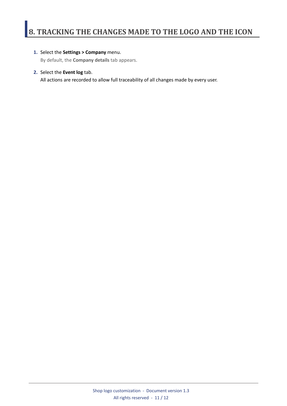#### <span id="page-10-0"></span>**1.** Select the **Settings > Company** menu.

By default, the **Company details** tab appears.

#### **2.** Select the **Event log** tab.

All actions are recorded to allow full traceability of all changes made by every user.